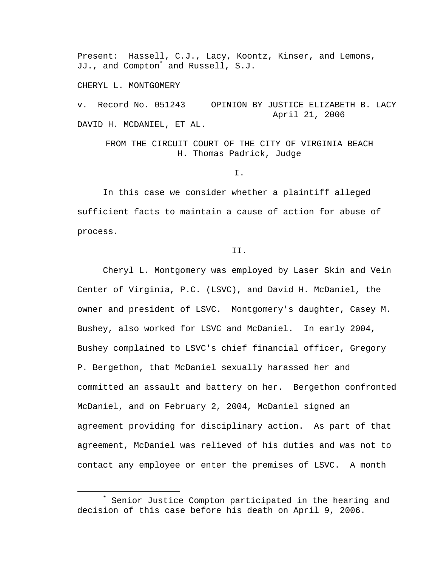Present: Hassell, C.J., Lacy, Koontz, Kinser, and Lemons, JJ., and Compton\* and Russell, S.J.

CHERYL L. MONTGOMERY

v. Record No. 051243 OPINION BY JUSTICE ELIZABETH B. LACY April 21, 2006 DAVID H. MCDANIEL, ET AL.

FROM THE CIRCUIT COURT OF THE CITY OF VIRGINIA BEACH H. Thomas Padrick, Judge

I.

In this case we consider whether a plaintiff alleged sufficient facts to maintain a cause of action for abuse of process.

II.

Cheryl L. Montgomery was employed by Laser Skin and Vein Center of Virginia, P.C. (LSVC), and David H. McDaniel, the owner and president of LSVC. Montgomery's daughter, Casey M. Bushey, also worked for LSVC and McDaniel. In early 2004, Bushey complained to LSVC's chief financial officer, Gregory P. Bergethon, that McDaniel sexually harassed her and committed an assault and battery on her. Bergethon confronted McDaniel, and on February 2, 2004, McDaniel signed an agreement providing for disciplinary action. As part of that agreement, McDaniel was relieved of his duties and was not to contact any employee or enter the premises of LSVC. A month

 $\overline{\phantom{a}}$  Senior Justice Compton participated in the hearing and decision of this case before his death on April 9, 2006.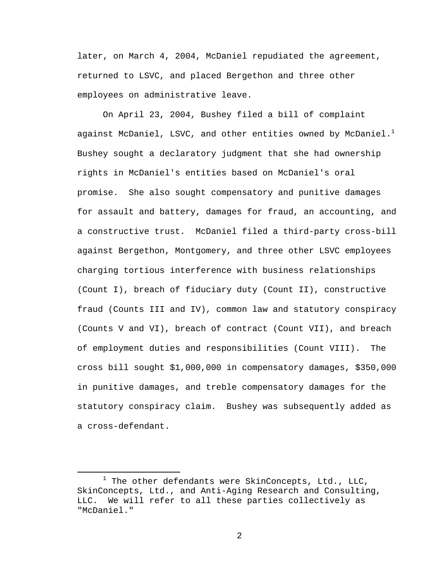later, on March 4, 2004, McDaniel repudiated the agreement, returned to LSVC, and placed Bergethon and three other employees on administrative leave.

On April 23, 2004, Bushey filed a bill of complaint against McDaniel, LSVC, and other entities owned by McDaniel. $^1$ Bushey sought a declaratory judgment that she had ownership rights in McDaniel's entities based on McDaniel's oral promise. She also sought compensatory and punitive damages for assault and battery, damages for fraud, an accounting, and a constructive trust. McDaniel filed a third-party cross-bill against Bergethon, Montgomery, and three other LSVC employees charging tortious interference with business relationships (Count I), breach of fiduciary duty (Count II), constructive fraud (Counts III and IV), common law and statutory conspiracy (Counts V and VI), breach of contract (Count VII), and breach of employment duties and responsibilities (Count VIII). The cross bill sought \$1,000,000 in compensatory damages, \$350,000 in punitive damages, and treble compensatory damages for the statutory conspiracy claim. Bushey was subsequently added as a cross-defendant.

 $\begin{array}{c}\n\hline\n\hline\n\hline\n\hline\n\hline\n\end{array}$  $1$  The other defendants were SkinConcepts, Ltd., LLC, SkinConcepts, Ltd., and Anti-Aging Research and Consulting, LLC. We will refer to all these parties collectively as "McDaniel."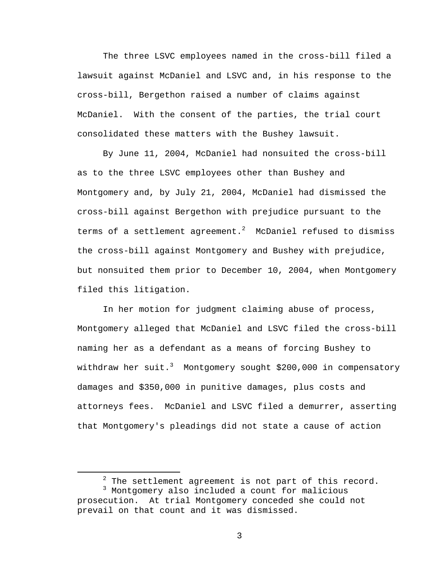The three LSVC employees named in the cross-bill filed a lawsuit against McDaniel and LSVC and, in his response to the cross-bill, Bergethon raised a number of claims against McDaniel. With the consent of the parties, the trial court consolidated these matters with the Bushey lawsuit.

By June 11, 2004, McDaniel had nonsuited the cross-bill as to the three LSVC employees other than Bushey and Montgomery and, by July 21, 2004, McDaniel had dismissed the cross-bill against Bergethon with prejudice pursuant to the terms of a settlement agreement. $^2$  McDaniel refused to dismiss the cross-bill against Montgomery and Bushey with prejudice, but nonsuited them prior to December 10, 2004, when Montgomery filed this litigation.

 In her motion for judgment claiming abuse of process, Montgomery alleged that McDaniel and LSVC filed the cross-bill naming her as a defendant as a means of forcing Bushey to withdraw her suit. $^3$  Montgomery sought \$200,000 in compensatory damages and \$350,000 in punitive damages, plus costs and attorneys fees. McDaniel and LSVC filed a demurrer, asserting that Montgomery's pleadings did not state a cause of action

 <sup>2</sup>  $2$  The settlement agreement is not part of this record.

<sup>&</sup>lt;sup>3</sup> Montgomery also included a count for malicious prosecution. At trial Montgomery conceded she could not prevail on that count and it was dismissed.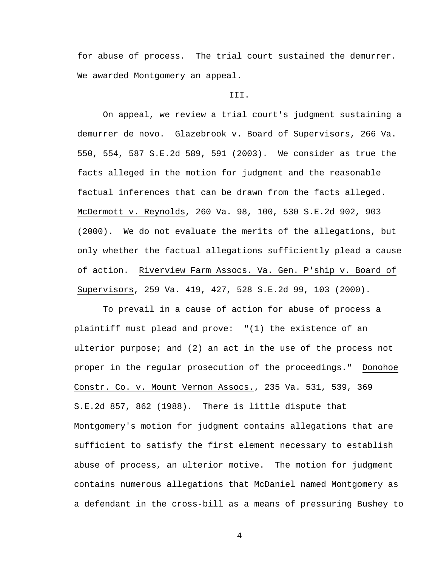for abuse of process. The trial court sustained the demurrer. We awarded Montgomery an appeal.

## III.

 On appeal, we review a trial court's judgment sustaining a demurrer de novo. Glazebrook v. Board of Supervisors, 266 Va. 550, 554, 587 S.E.2d 589, 591 (2003). We consider as true the facts alleged in the motion for judgment and the reasonable factual inferences that can be drawn from the facts alleged. McDermott v. Reynolds, 260 Va. 98, 100, 530 S.E.2d 902, 903 (2000). We do not evaluate the merits of the allegations, but only whether the factual allegations sufficiently plead a cause of action. Riverview Farm Assocs. Va. Gen. P'ship v. Board of Supervisors, 259 Va. 419, 427, 528 S.E.2d 99, 103 (2000).

 To prevail in a cause of action for abuse of process a plaintiff must plead and prove: "(1) the existence of an ulterior purpose; and (2) an act in the use of the process not proper in the regular prosecution of the proceedings." Donohoe Constr. Co. v. Mount Vernon Assocs., 235 Va. 531, 539, 369 S.E.2d 857, 862 (1988). There is little dispute that Montgomery's motion for judgment contains allegations that are sufficient to satisfy the first element necessary to establish abuse of process, an ulterior motive. The motion for judgment contains numerous allegations that McDaniel named Montgomery as a defendant in the cross-bill as a means of pressuring Bushey to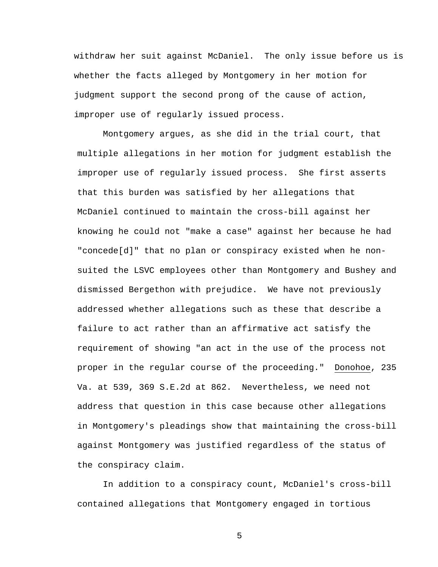withdraw her suit against McDaniel. The only issue before us is whether the facts alleged by Montgomery in her motion for judgment support the second prong of the cause of action, improper use of regularly issued process.

Montgomery argues, as she did in the trial court, that multiple allegations in her motion for judgment establish the improper use of regularly issued process. She first asserts that this burden was satisfied by her allegations that McDaniel continued to maintain the cross-bill against her knowing he could not "make a case" against her because he had "concede[d]" that no plan or conspiracy existed when he nonsuited the LSVC employees other than Montgomery and Bushey and dismissed Bergethon with prejudice. We have not previously addressed whether allegations such as these that describe a failure to act rather than an affirmative act satisfy the requirement of showing "an act in the use of the process not proper in the regular course of the proceeding." Donohoe, 235 Va. at 539, 369 S.E.2d at 862. Nevertheless, we need not address that question in this case because other allegations in Montgomery's pleadings show that maintaining the cross-bill against Montgomery was justified regardless of the status of the conspiracy claim.

In addition to a conspiracy count, McDaniel's cross-bill contained allegations that Montgomery engaged in tortious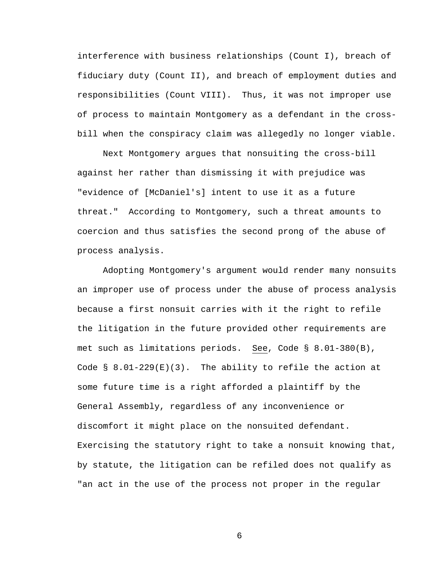interference with business relationships (Count I), breach of fiduciary duty (Count II), and breach of employment duties and responsibilities (Count VIII). Thus, it was not improper use of process to maintain Montgomery as a defendant in the crossbill when the conspiracy claim was allegedly no longer viable.

Next Montgomery argues that nonsuiting the cross-bill against her rather than dismissing it with prejudice was "evidence of [McDaniel's] intent to use it as a future threat." According to Montgomery, such a threat amounts to coercion and thus satisfies the second prong of the abuse of process analysis.

Adopting Montgomery's argument would render many nonsuits an improper use of process under the abuse of process analysis because a first nonsuit carries with it the right to refile the litigation in the future provided other requirements are met such as limitations periods. See, Code § 8.01-380(B), Code  $\S$  8.01-229(E)(3). The ability to refile the action at some future time is a right afforded a plaintiff by the General Assembly, regardless of any inconvenience or discomfort it might place on the nonsuited defendant. Exercising the statutory right to take a nonsuit knowing that, by statute, the litigation can be refiled does not qualify as "an act in the use of the process not proper in the regular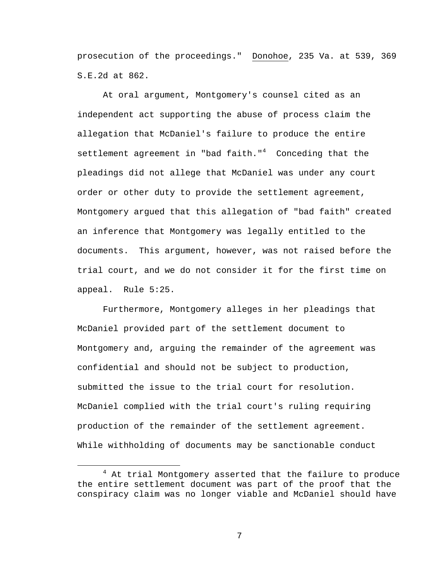prosecution of the proceedings." Donohoe, 235 Va. at 539, 369 S.E.2d at 862.

At oral argument, Montgomery's counsel cited as an independent act supporting the abuse of process claim the allegation that McDaniel's failure to produce the entire settlement agreement in "bad faith."<sup>4</sup> Conceding that the pleadings did not allege that McDaniel was under any court order or other duty to provide the settlement agreement, Montgomery argued that this allegation of "bad faith" created an inference that Montgomery was legally entitled to the documents. This argument, however, was not raised before the trial court, and we do not consider it for the first time on appeal. Rule 5:25.

Furthermore, Montgomery alleges in her pleadings that McDaniel provided part of the settlement document to Montgomery and, arguing the remainder of the agreement was confidential and should not be subject to production, submitted the issue to the trial court for resolution. McDaniel complied with the trial court's ruling requiring production of the remainder of the settlement agreement. While withholding of documents may be sanctionable conduct

 $\overline{4}$  $4$  At trial Montgomery asserted that the failure to produce the entire settlement document was part of the proof that the conspiracy claim was no longer viable and McDaniel should have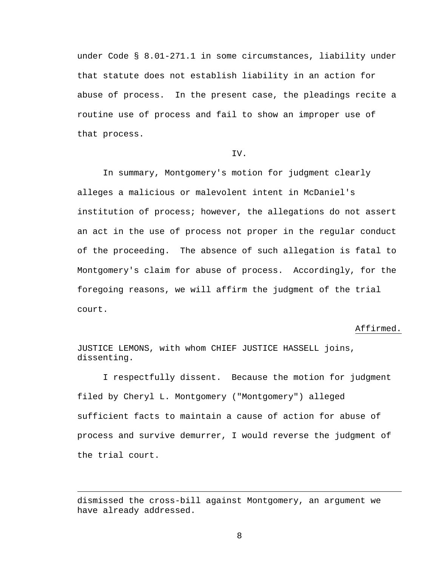under Code § 8.01-271.1 in some circumstances, liability under that statute does not establish liability in an action for abuse of process. In the present case, the pleadings recite a routine use of process and fail to show an improper use of that process.

## IV.

In summary, Montgomery's motion for judgment clearly alleges a malicious or malevolent intent in McDaniel's institution of process; however, the allegations do not assert an act in the use of process not proper in the regular conduct of the proceeding. The absence of such allegation is fatal to Montgomery's claim for abuse of process. Accordingly, for the foregoing reasons, we will affirm the judgment of the trial court.

## Affirmed.

JUSTICE LEMONS, with whom CHIEF JUSTICE HASSELL joins, dissenting.

 I respectfully dissent. Because the motion for judgment filed by Cheryl L. Montgomery ("Montgomery") alleged sufficient facts to maintain a cause of action for abuse of process and survive demurrer, I would reverse the judgment of the trial court.

dismissed the cross-bill against Montgomery, an argument we have already addressed.

i<br>Li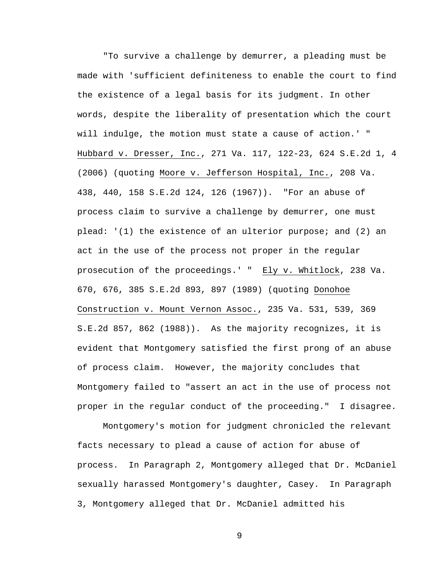"To survive a challenge by demurrer, a pleading must be made with 'sufficient definiteness to enable the court to find the existence of a legal basis for its judgment. In other words, despite the liberality of presentation which the court will indulge, the motion must state a cause of action.' " Hubbard v. Dresser, Inc., 271 Va. 117, 122-23, 624 S.E.2d 1, 4 (2006) (quoting Moore v. Jefferson Hospital, Inc., 208 Va. 438, 440, 158 S.E.2d 124, 126 (1967)). "For an abuse of process claim to survive a challenge by demurrer, one must plead: '(1) the existence of an ulterior purpose; and (2) an act in the use of the process not proper in the regular prosecution of the proceedings.' " Ely v. Whitlock, 238 Va. 670, 676, 385 S.E.2d 893, 897 (1989) (quoting Donohoe Construction v. Mount Vernon Assoc., 235 Va. 531, 539, 369 S.E.2d 857, 862 (1988)). As the majority recognizes, it is evident that Montgomery satisfied the first prong of an abuse of process claim. However, the majority concludes that Montgomery failed to "assert an act in the use of process not proper in the regular conduct of the proceeding." I disagree.

Montgomery's motion for judgment chronicled the relevant facts necessary to plead a cause of action for abuse of process. In Paragraph 2, Montgomery alleged that Dr. McDaniel sexually harassed Montgomery's daughter, Casey. In Paragraph 3, Montgomery alleged that Dr. McDaniel admitted his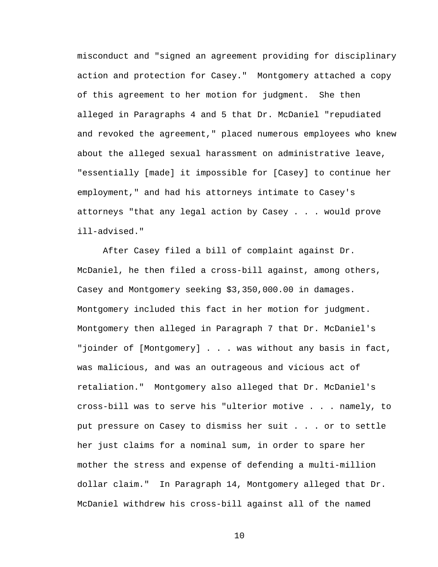misconduct and "signed an agreement providing for disciplinary action and protection for Casey." Montgomery attached a copy of this agreement to her motion for judgment. She then alleged in Paragraphs 4 and 5 that Dr. McDaniel "repudiated and revoked the agreement," placed numerous employees who knew about the alleged sexual harassment on administrative leave, "essentially [made] it impossible for [Casey] to continue her employment," and had his attorneys intimate to Casey's attorneys "that any legal action by Casey . . . would prove ill-advised."

After Casey filed a bill of complaint against Dr. McDaniel, he then filed a cross-bill against, among others, Casey and Montgomery seeking \$3,350,000.00 in damages. Montgomery included this fact in her motion for judgment. Montgomery then alleged in Paragraph 7 that Dr. McDaniel's "joinder of [Montgomery] . . . was without any basis in fact, was malicious, and was an outrageous and vicious act of retaliation." Montgomery also alleged that Dr. McDaniel's cross-bill was to serve his "ulterior motive . . . namely, to put pressure on Casey to dismiss her suit . . . or to settle her just claims for a nominal sum, in order to spare her mother the stress and expense of defending a multi-million dollar claim." In Paragraph 14, Montgomery alleged that Dr. McDaniel withdrew his cross-bill against all of the named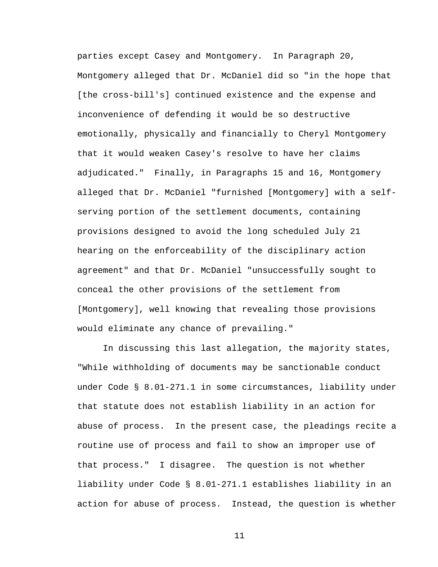parties except Casey and Montgomery. In Paragraph 20, Montgomery alleged that Dr. McDaniel did so "in the hope that [the cross-bill's] continued existence and the expense and inconvenience of defending it would be so destructive emotionally, physically and financially to Cheryl Montgomery that it would weaken Casey's resolve to have her claims adjudicated." Finally, in Paragraphs 15 and 16, Montgomery alleged that Dr. McDaniel "furnished [Montgomery] with a selfserving portion of the settlement documents, containing provisions designed to avoid the long scheduled July 21 hearing on the enforceability of the disciplinary action agreement" and that Dr. McDaniel "unsuccessfully sought to conceal the other provisions of the settlement from [Montgomery], well knowing that revealing those provisions would eliminate any chance of prevailing."

In discussing this last allegation, the majority states, "While withholding of documents may be sanctionable conduct under Code § 8.01-271.1 in some circumstances, liability under that statute does not establish liability in an action for abuse of process. In the present case, the pleadings recite a routine use of process and fail to show an improper use of that process." I disagree. The question is not whether liability under Code § 8.01-271.1 establishes liability in an action for abuse of process. Instead, the question is whether